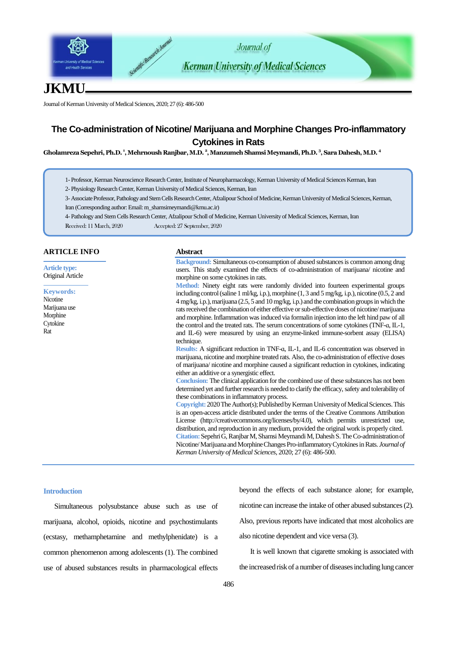

# **JKMU**

Journal of Kerman University of Medical Sciences, 2020; 27 (6): 486-500

# **The Co-administration of Nicotine/ Marijuana and Morphine Changes Pro-inflammatory Cytokines in Rats**

**Gholamreza Sepehri, Ph.D. <sup>1</sup> , Mehrnoush Ranjbar, M.D. <sup>2</sup> , Manzumeh Shamsi Meymandi, Ph.D. <sup>3</sup> , Sara Dahesh, M.D. <sup>4</sup>**

1- Professor, Kerman Neuroscience Research Center, Institute of Neuropharmacology, Kerman University of Medical Sciences Kerman, Iran

2- Physiology Research Center, Kerman University of Medical Sciences, Kerman, Iran

3- AssociateProfessor, Pathology and Stem Cells Research Center, AfzalipourSchool of Medicine, Kerman University of Medical Sciences, Kerman, Iran (Corresponding author: Email: m\_shamsimeymandi@kmu.ac.ir)

4- Pathology and Stem Cells Research Center, Afzalipour Scholl of Medicine, Kerman University of Medical Sciences, Kerman, Iran

Received: 11 March, 2020 Accepted: 27 September, 2020

| <b>ARTICLE INFO</b>                                                          | <b>Abstract</b>                                                                                                                                                                                                                                                                                                                                                                                                                                                                                                                                                                                                                                                                                                                                                                                                                                                                                                                                                                                                                                                                                                                                                                                                                                                                                                                                                                                                                                                                                                                                                                                                                                                                                                                                                                                                                                                                                                                                                                     |
|------------------------------------------------------------------------------|-------------------------------------------------------------------------------------------------------------------------------------------------------------------------------------------------------------------------------------------------------------------------------------------------------------------------------------------------------------------------------------------------------------------------------------------------------------------------------------------------------------------------------------------------------------------------------------------------------------------------------------------------------------------------------------------------------------------------------------------------------------------------------------------------------------------------------------------------------------------------------------------------------------------------------------------------------------------------------------------------------------------------------------------------------------------------------------------------------------------------------------------------------------------------------------------------------------------------------------------------------------------------------------------------------------------------------------------------------------------------------------------------------------------------------------------------------------------------------------------------------------------------------------------------------------------------------------------------------------------------------------------------------------------------------------------------------------------------------------------------------------------------------------------------------------------------------------------------------------------------------------------------------------------------------------------------------------------------------------|
| <b>Article type:</b><br>Original Article                                     | Background: Simultaneous co-consumption of abused substances is common among drug<br>users. This study examined the effects of co-administration of marijuana/ nicotine and<br>morphine on some cytokines in rats.                                                                                                                                                                                                                                                                                                                                                                                                                                                                                                                                                                                                                                                                                                                                                                                                                                                                                                                                                                                                                                                                                                                                                                                                                                                                                                                                                                                                                                                                                                                                                                                                                                                                                                                                                                  |
| <b>Keywords:</b><br>Nicotine<br>Marijuana use<br>Morphine<br>Cytokine<br>Rat | Method: Ninety eight rats were randomly divided into fourteen experimental groups<br>including control (saline 1 ml/kg, i.p.), morphine $(1, 3 \text{ and } 5 \text{ mg/kg}, i.p.)$ , nicotine $(0.5, 2 \text{ and } 1 \text{ mg/kg}, i.p.)$<br>4 mg/kg, i.p.), marijuana (2.5, 5 and 10 mg/kg, i.p.) and the combination groups in which the<br>rats received the combination of either effective or sub-effective doses of nicotine/marijuana<br>and morphine. Inflammation was induced via formalin injection into the left hind paw of all<br>the control and the treated rats. The serum concentrations of some cytokines (TNF-a, IL-1,<br>and IL-6) were measured by using an enzyme-linked immune-sorbent assay (ELISA)<br>technique.<br>Results: A significant reduction in TNF-a, IL-1, and IL-6 concentration was observed in<br>marijuana, nicotine and morphine treated rats. Also, the co-administration of effective doses<br>of marijuana/ nicotine and morphine caused a significant reduction in cytokines, indicating<br>either an additive or a synergistic effect.<br><b>Conclusion:</b> The clinical application for the combined use of these substances has not been<br>determined yet and further research is needed to clarify the efficacy, safety and tolerability of<br>these combinations in inflammatory process.<br>Copyright: 2020 The Author(s); Published by Kerman University of Medical Sciences. This<br>is an open-access article distributed under the terms of the Creative Commons Attribution<br>License (http://creativecommons.org/licenses/by/4.0), which permits unrestricted use,<br>distribution, and reproduction in any medium, provided the original work is properly cited.<br>Citation: Sepehri G, Ranjbar M, Shamsi Meymandi M, Dahesh S. The Co-administration of<br>Nicotine/Marijuana and Morphine Changes Pro-inflammatory Cytokines in Rats. Journal of<br>Kerman University of Medical Sciences, 2020; 27 (6): 486-500. |

# **Introduction**

Simultaneous polysubstance abuse such as use of marijuana, alcohol, opioids, nicotine and psychostimulants (ecstasy, methamphetamine and methylphenidate) is a common phenomenon among adolescents [\(1\)](#page-11-0). The combined use of abused substances results in pharmacological effects beyond the effects of each substance alone; for example, nicotine can increase the intake of other abused substances [\(2\)](#page-11-1). Also, previous reports have indicated that most alcoholics are also nicotine dependent and vice versa [\(3\)](#page-11-2).

It is well known that cigarette smoking is associated with the increased risk of a number of diseases including lung cancer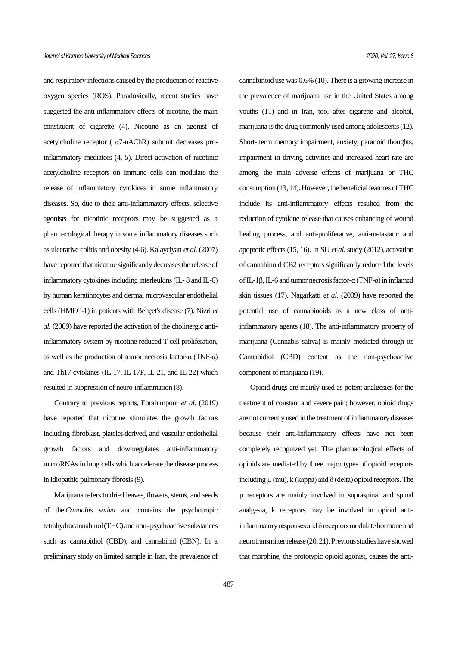and respiratory infections caused by the production of reactive oxygen species (ROS). Paradoxically, recent studies have suggested the anti-inflammatory effects of nicotine, the main constituent of cigarette [\(4\)](#page-11-3). Nicotine as an agonist of acetylcholine receptor ( $\alpha$ 7-nAChR) subunit decreases proinflammatory mediators (4, 5). Direct activation of nicotinic acetylcholine receptors on immune cells can modulate the release of inflammatory cytokines in some inflammatory diseases. So, due to their anti-inflammatory effects, selective agonists for nicotinic receptors may be suggested as a pharmacological therapy in some inflammatory diseases such as ulcerative colitis and obesity (4-6). Kalayciyan *et al*. (2007) have reported that nicotine significantly decreases the release of inflammatory cytokines including interleukins (IL- 8 and IL-6) by human keratinocytes and dermal microvascular endothelial cells (HMEC-1) in patients with Behçet's disease [\(7\)](#page-11-4). Nizri *et al.* (2009) have reported the activation of the cholinergic antiinflammatory system by nicotine reduced T cell proliferation, as well as the production of tumor necrosis factor-α (TNF-α) and Th17 cytokines (IL-17, IL-17F, IL-21, and IL-22) which resulted in suppression of neuro-inflammation [\(8\)](#page-11-5).

Contrary to previous reports, Ebrahimpour *et al*. (2019) have reported that nicotine stimulates the growth factors including fibroblast, platelet-derived, and vascular endothelial growth factors and downregulates anti-inflammatory microRNAs in lung cells which accelerate the disease process in idiopathic pulmonary fibrosis [\(9\)](#page-11-6).

Marijuana refers to dried leaves, flowers, stems, and seeds of the *Cannabis sativa* and contains the psychotropic tetrahydrocannabinol (THC) and non- psychoactive substances such as cannabidiol (CBD), and cannabinol (CBN). In a preliminary study on limited sample in Iran, the prevalence of cannabinoid use was 0.6% [\(10\)](#page-11-7). There is a growing increase in the prevalence of marijuana use in the United States among youths [\(11\)](#page-11-8) and in Iran, too, after cigarette and alcohol, marijuana is the drug commonly used among adolescents [\(12\)](#page-11-9). Short- term memory impairment, anxiety, paranoid thoughts, impairment in driving activities and increased heart rate are among the main adverse effects of marijuana or THC consumption (13, 14). However, the beneficial features of THC include its anti-inflammatory effects resulted from the reduction of cytokine release that causes enhancing of wound healing process, and anti-proliferative, anti-metastatic and apoptotic effects (15, 16). In SU *et al.* study (2012), activation of cannabinoid CB2 receptors significantly reduced the levels of IL-1β, IL-6 and tumor necrosis factor-α (TNF-α) in inflamed skin tissues [\(17\)](#page-12-0). Nagarkatti *et al.* (2009) have reported the potential use of cannabinoids as a new class of antiinflammatory agents [\(18\)](#page-12-1). The anti-inflammatory property of marijuana (Cannabis sativa) is mainly mediated through its Cannabidiol (CBD) content as the non-psychoactive component of marijuana [\(19\)](#page-12-2).

Opioid drugs are mainly used as potent analgesics for the treatment of constant and severe pain; however, opioid drugs are not currently used in the treatment of inflammatory diseases because their anti-inflammatory effects have not been completely recognized yet. The pharmacological effects of opioids are mediated by three major types of opioid receptors including  $\mu$  (mu), k (kappa) and  $\delta$  (delta) opioid receptors. The µ receptors are mainly involved in supraspinal and spinal analgesia, k receptors may be involved in opioid antiinflammatory responses and δ receptors modulate hormone and neurotransmitter release [\(20,](#page-12-3) [21\)](#page-12-4). Previous studies have showed that morphine, the prototypic opioid agonist, causes the anti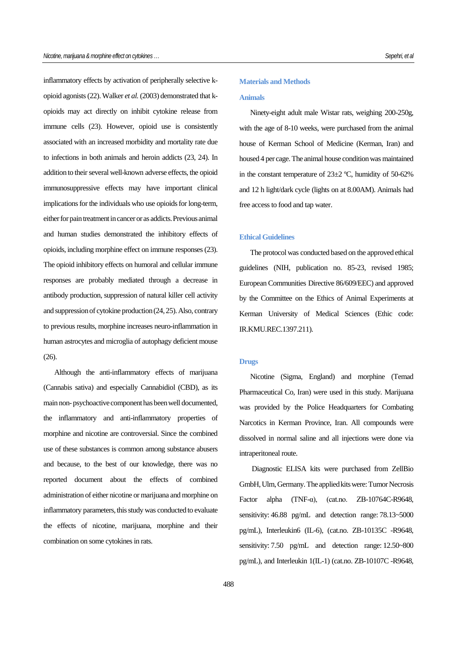inflammatory effects by activation of peripherally selective kopioid agonists [\(22\)](#page-12-5). Walker *et al.* (2003) demonstrated that kopioids may act directly on inhibit cytokine release from immune cells [\(23\)](#page-12-6). However, opioid use is consistently associated with an increased morbidity and mortality rate due to infections in both animals and heroin addicts [\(23,](#page-12-6) [24\)](#page-12-7). In addition to their several well-known adverse effects, the opioid immunosuppressive effects may have important clinical implications for the individuals who use opioids for long-term, either for pain treatment in cancer or as addicts. Previous animal and human studies demonstrated the inhibitory effects of opioids, including morphine effect on immune responses [\(23\)](#page-12-6). The opioid inhibitory effects on humoral and cellular immune responses are probably mediated through a decrease in antibody production, suppression of natural killer cell activity and suppression of cytokine production [\(24,](#page-12-7) [25\)](#page-12-8). Also, contrary to previous results, morphine increases neuro-inflammation in human astrocytes and microglia of autophagy deficient mouse [\(26\)](#page-12-9).

Although the anti-inflammatory effects of marijuana (Cannabis sativa) and especially Cannabidiol (CBD), as its main non-psychoactive component has been well documented, the inflammatory and anti-inflammatory properties of morphine and nicotine are controversial. Since the combined use of these substances is common among substance abusers and because, to the best of our knowledge, there was no reported document about the effects of combined administration of either nicotine or marijuana and morphine on inflammatory parameters, this study was conducted to evaluate the effects of nicotine, marijuana, morphine and their combination on some cytokines in rats.

### **Materials and Methods**

#### **Animals**

Ninety-eight adult male Wistar rats, weighing 200-250g, with the age of 8-10 weeks, were purchased from the animal house of Kerman School of Medicine (Kerman, Iran) and housed 4 per cage. The animal house condition was maintained in the constant temperature of  $23\pm2$  °C, humidity of 50-62% and 12 h light/dark cycle (lights on at 8.00AM). Animals had free access to food and tap water.

#### **Ethical Guidelines**

The protocol was conducted based on the approved ethical guidelines (NIH, publication no. 85-23, revised 1985; European Communities Directive 86/609/EEC) and approved by the Committee on the Ethics of Animal Experiments at Kerman University of Medical Sciences (Ethic code: IR.KMU.REC.1397.211).

## **Drugs**

Nicotine (Sigma, England) and morphine (Temad Pharmaceutical Co, Iran) were used in this study. Marijuana was provided by the Police Headquarters for Combating Narcotics in Kerman Province, Iran. All compounds were dissolved in normal saline and all injections were done via intraperitoneal route.

Diagnostic ELISA kits were purchased from ZellBio GmbH, Ulm, Germany. The applied kits were: Tumor Necrosis Factor alpha (TNF- $\alpha$ ), (cat.no. ZB-10764C-R9648, sensitivity: 46.88 pg/mL and detection range: 78.13~5000 pg/mL), Interleukin6 (IL-6), (cat.no. ZB-10135C -R9648, sensitivity: 7.50 pg/mL and detection range: 12.50~800 pg/mL), and Interleukin 1(IL-1) (cat.no. ZB-10107C -R9648,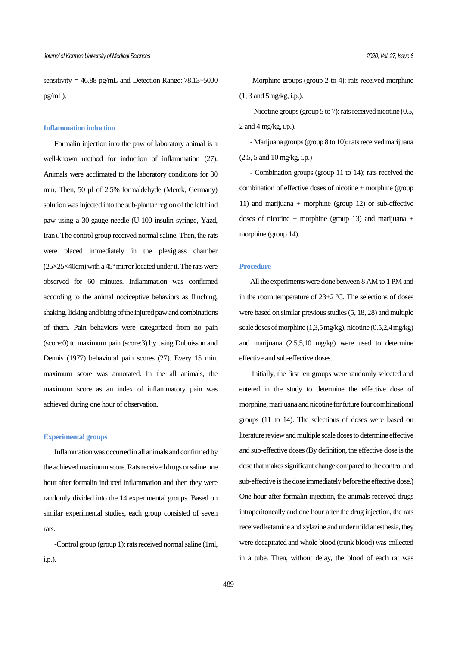sensitivity =  $46.88$  pg/mL and Detection Range:  $78.13 \div 5000$ pg/mL).

#### **Inflammation induction**

Formalin injection into the paw of laboratory animal is a well-known method for induction of inflammation [\(27\)](#page-12-10). Animals were acclimated to the laboratory conditions for 30 min. Then, 50 µl of 2.5% formaldehyde (Merck, Germany) solution was injected into the sub-plantar region of the left hind paw using a 30-gauge needle (U-100 insulin syringe, Yazd, Iran). The control group received normal saline. Then, the rats were placed immediately in the plexiglass chamber  $(25\times25\times40$ cm) with a 45<sup>°</sup> mirror located under it. The rats were observed for 60 minutes. Inflammation was confirmed according to the animal nociceptive behaviors as flinching, shaking, licking and biting of the injured paw and combinations of them. Pain behaviors were categorized from no pain (score:0) to maximum pain (score:3) by using Dubuisson and Dennis (1977) behavioral pain scores [\(27\)](#page-12-10). Every 15 min. maximum score was annotated. In the all animals, the maximum score as an index of inflammatory pain was achieved during one hour of observation.

#### **Experimental groups**

Inflammation was occurred in all animals and confirmed by the achieved maximum score. Rats received drugs or saline one hour after formalin induced inflammation and then they were randomly divided into the 14 experimental groups. Based on similar experimental studies, each group consisted of seven rats.

-Control group (group 1): rats received normal saline (1ml, i.p.).

-Morphine groups (group 2 to 4): rats received morphine (1, 3 and 5mg/kg, i.p.).

- Nicotine groups (group 5 to 7): rats received nicotine (0.5, 2 and 4 mg/kg, i.p.).

- Marijuana groups (group 8 to 10): rats received marijuana (2.5, 5 and 10 mg/kg, i.p.)

- Combination groups (group 11 to 14); rats received the combination of effective doses of nicotine + morphine (group 11) and marijuana + morphine (group 12) or sub-effective doses of nicotine + morphine (group 13) and marijuana + morphine (group 14).

## **Procedure**

All the experiments were done between 8 AM to 1 PM and in the room temperature of  $23\pm2$  °C. The selections of doses were based on similar previous studies (5, 18, 28) and multiple scale doses of morphine (1,3,5 mg/kg), nicotine (0.5,2,4 mg/kg) and marijuana (2.5,5,10 mg/kg) were used to determine effective and sub-effective doses.

Initially, the first ten groups were randomly selected and entered in the study to determine the effective dose of morphine, marijuana and nicotine for future four combinational groups (11 to 14). The selections of doses were based on literature review and multiple scale doses to determine effective and sub-effective doses(By definition, the effective dose is the dose that makes significant change compared to the control and sub-effective is the dose immediately before the effective dose.) One hour after formalin injection, the animals received drugs intraperitoneally and one hour after the drug injection, the rats received ketamine and xylazine and under mild anesthesia, they were decapitated and whole blood (trunk blood) was collected in a tube. Then, without delay, the blood of each rat was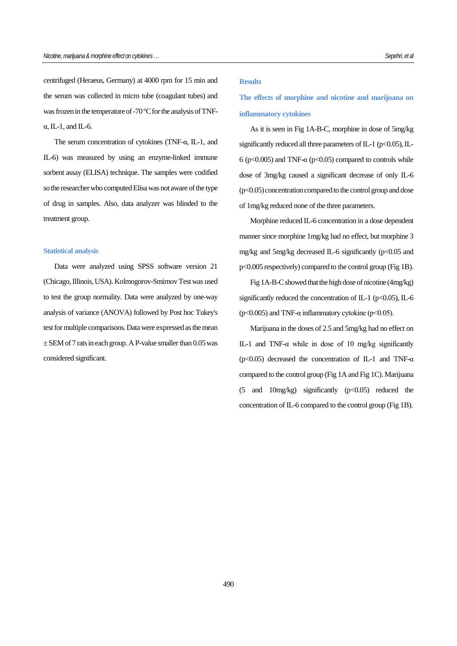centrifuged (Heraeus, Germany) at 4000 rpm for 15 min and the serum was collected in micro tube (coagulant tubes) and was frozen in the temperature of -70 ºC for the analysis of TNFα, IL-1, and IL-6.

The serum concentration of cytokines (TNF-α, IL-1, and IL-6) was measured by using an enzyme-linked immune sorbent assay (ELISA) technique. The samples were codified so the researcher who computed Elisa was not aware of the type of drug in samples. Also, data analyzer was blinded to the treatment group.

#### **Statistical analysis**

Data were analyzed using SPSS software version 21 (Chicago, Illinois,USA). Kolmogorov-Smirnov Test was used to test the group normality. Data were analyzed by one-way analysis of variance (ANOVA) followed by Post hoc Tukey's test for multiple comparisons. Data were expressed as the mean ± SEM of 7 rats in each group. A P-value smaller than 0.05 was considered significant.

#### **Results**

**The effects of morphine and nicotine and marijuana on inflammatory cytokines**

As it is seen in Fig 1A-B-C, morphine in dose of 5mg/kg significantly reduced all three parameters of IL-1 ( $p<0.05$ ), IL-6 (p<0.005) and TNF- $\alpha$  (p<0.05) compared to controls while dose of 3mg/kg caused a significant decrease of only IL-6 (p<0.05) concentration compared to the control group and dose of 1mg/kg reduced none of the three parameters.

Morphine reduced IL-6 concentration in a dose dependent manner since morphine 1mg/kg had no effect, but morphine 3 mg/kg and 5mg/kg decreased IL-6 significantly  $(p<0.05$  and p<0.005 respectively) compared to the control group (Fig 1B).

Fig 1A-B-C showed that the high dose of nicotine (4mg/kg) significantly reduced the concentration of IL-1 ( $p<0.05$ ), IL-6 ( $p<0.005$ ) and TNF- $\alpha$  inflammatory cytokine ( $p<0.05$ ).

Marijuana in the doses of 2.5 and 5mg/kg had no effect on IL-1 and TNF- $\alpha$  while in dose of 10 mg/kg significantly ( $p<0.05$ ) decreased the concentration of IL-1 and TNF- $\alpha$ compared to the control group (Fig 1A and Fig 1C). Marijuana (5 and 10mg/kg) significantly (p<0.05) reduced the concentration of IL-6 compared to the control group (Fig 1B).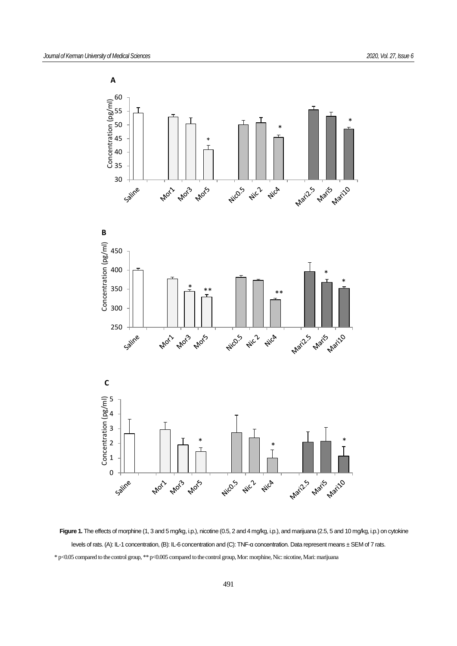

**Figure 1.** The effects of morphine (1, 3 and 5 mg/kg, i.p.), nicotine (0.5, 2 and 4 mg/kg, i.p.), and marijuana (2.5, 5 and 10 mg/kg, i.p.) on cytokine levels of rats. (A): IL-1 concentration, (B): IL-6 concentration and (C): TNF-α concentration. Data represent means ± SEM of 7 rats. \* p<0.05 compared to the control group, \*\* p<0.005 compared to the control group, Mor: morphine, Nic: nicotine, Mari: marijuana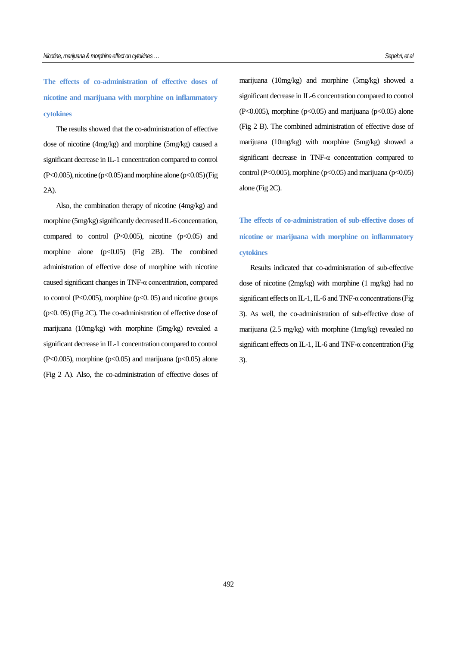**The effects of co-administration of effective doses of nicotine and marijuana with morphine on inflammatory cytokines**

The results showed that the co-administration of effective dose of nicotine (4mg/kg) and morphine (5mg/kg) caused a significant decrease in IL-1 concentration compared to control  $(P<0.005)$ , nicotine (p<0.05) and morphine alone (p<0.05) (Fig 2A).

Also, the combination therapy of nicotine (4mg/kg) and morphine (5mg/kg) significantly decreased IL-6 concentration, compared to control  $(P<0.005)$ , nicotine  $(p<0.05)$  and morphine alone  $(p<0.05)$  (Fig 2B). The combined administration of effective dose of morphine with nicotine caused significant changes in TNF-α concentration, compared to control (P<0.005), morphine ( $p<0.05$ ) and nicotine groups (p<0. 05) (Fig 2C). The co-administration of effective dose of marijuana (10mg/kg) with morphine (5mg/kg) revealed a significant decrease in IL-1 concentration compared to control  $(P<0.005)$ , morphine  $(p<0.05)$  and marijuana  $(p<0.05)$  alone (Fig 2 A). Also, the co-administration of effective doses of marijuana (10mg/kg) and morphine (5mg/kg) showed a significant decrease in IL-6 concentration compared to control  $(P<0.005)$ , morphine  $(p<0.05)$  and marijuana  $(p<0.05)$  alone (Fig 2 B). The combined administration of effective dose of marijuana (10mg/kg) with morphine (5mg/kg) showed a significant decrease in TNF-α concentration compared to control (P<0.005), morphine ( $p<0.05$ ) and marijuana ( $p<0.05$ ) alone (Fig 2C).

**The effects of co-administration of sub-effective doses of nicotine or marijuana with morphine on inflammatory cytokines**

Results indicated that co-administration of sub-effective dose of nicotine (2mg/kg) with morphine (1 mg/kg) had no significant effects on IL-1, IL-6 and TNF- $\alpha$  concentrations (Fig. 3). As well, the co-administration of sub-effective dose of marijuana (2.5 mg/kg) with morphine (1mg/kg) revealed no significant effects on IL-1, IL-6 and TNF- $\alpha$  concentration (Fig 3).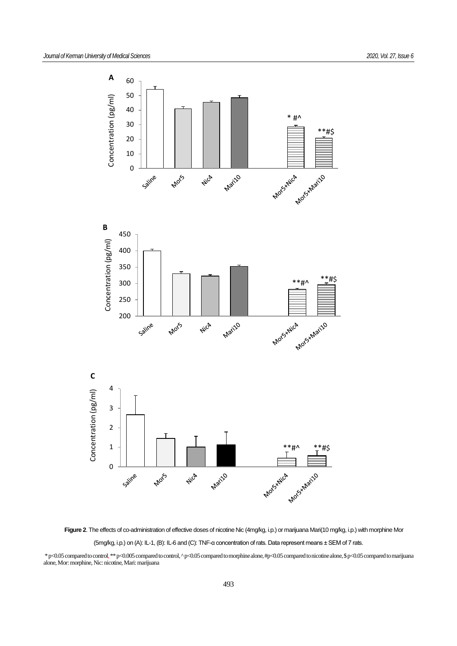

**Figure 2**. The effects of co-administration of effective doses of nicotine Nic (4mg/kg, i.p.) or marijuana Mari(10 mg/kg, i.p.) with morphine Mor (5mg/kg, i.p.) on (A): IL-1, (B): IL-6 and (C): TNF-α concentration of rats. Data represent means ± SEM of 7 rats.

\* p<0.05 compared to control, \*\* p<0.005 compared to control, ^ p<0.05 compared to morphine alone, #p<0.05 compared to nicotine alone, \$ p<0.05 compared to marijuana alone, Mor: morphine, Nic: nicotine, Mari: marijuana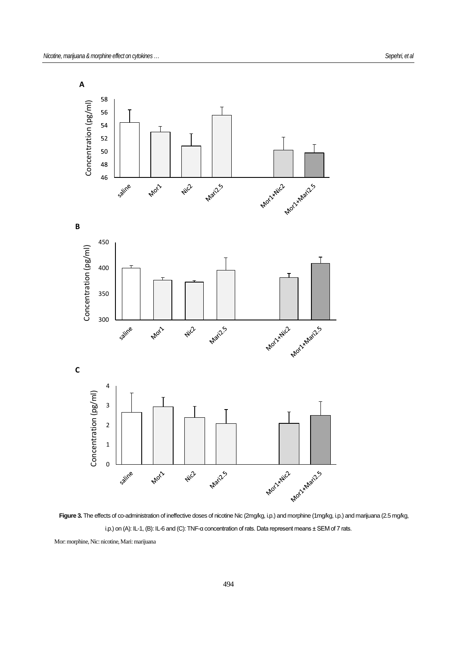

Figure 3. The effects of co-administration of ineffective doses of nicotine Nic (2mg/kg, i.p.) and morphine (1mg/kg, i.p.) and marijuana (2.5 mg/kg, i.p.) on (A): IL-1, (B): IL-6 and (C): TNF-α concentration of rats. Data represent means ± SEM of 7 rats.

Mor: morphine, Nic: nicotine, Mari: marijuana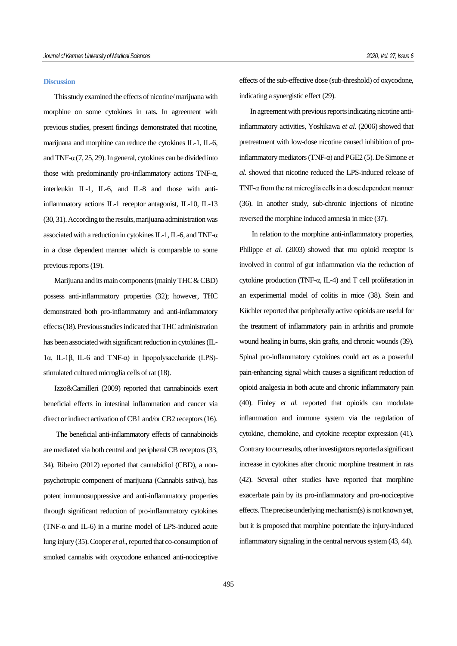#### **Discussion**

This study examined the effects of nicotine/ marijuana with morphine on some cytokines in rats**.** In agreement with previous studies, present findings demonstrated that nicotine, marijuana and morphine can reduce the cytokines IL-1, IL-6, and TNF- $\alpha$  (7, 25, 29). In general, cytokines can be divided into those with predominantly pro-inflammatory actions TNF-α, interleukin IL-1, IL-6, and IL-8 and those with antiinflammatory actions IL-1 receptor antagonist, IL-10, IL-13 [\(30,](#page-12-11) [31\)](#page-13-0). According to the results, marijuana administration was associated with a reduction in cytokines IL-1, IL-6, and TNF- $\alpha$ in a dose dependent manner which is comparable to some previous reports [\(19\)](#page-12-2).

Marijuana and its main components (mainly THC & CBD) possess anti-inflammatory properties [\(32\)](#page-13-1); however, THC demonstrated both pro-inflammatory and anti-inflammatory effects [\(18\)](#page-12-1).Previous studies indicated that THC administration has been associated with significant reduction in cytokines (IL- $1α$ , IL-1β, IL-6 and TNF- $α$ ) in lipopolysaccharide (LPS)stimulated cultured microglia cells of rat [\(18\)](#page-12-1).

Izzo&Camilleri (2009) reported that cannabinoids exert beneficial effects in intestinal inflammation and cancer via direct or indirect activation of CB1 and/or CB2 receptors [\(16\)](#page-12-12).

The beneficial anti-inflammatory effects of cannabinoids are mediated via both central and peripheral CB receptors [\(33,](#page-13-2)  [34\)](#page-13-3). Ribeiro (2012) reported that cannabidiol (CBD), a nonpsychotropic component of marijuana (Cannabis sativa), has potent immunosuppressive and anti-inflammatory properties through significant reduction of pro-inflammatory cytokines (TNF-α and IL-6) in a murine model of LPS-induced acute lung injury [\(35\)](#page-13-4). Cooper *et al*., reported that co-consumption of smoked cannabis with oxycodone enhanced anti-nociceptive

effects of the sub-effective dose (sub-threshold) of oxycodone, indicating a synergistic effect [\(29\)](#page-12-13).

In agreement with previous reports indicating nicotine antiinflammatory activities, Yoshikawa *et al.* (2006) showed that pretreatment with low-dose nicotine caused inhibition of proinflammatory mediators (TNF-α) and PGE2 [\(5\)](#page-11-10). De Simone *et al.* showed that nicotine reduced the LPS-induced release of TNF-α from the rat microglia cells in a dose dependent manner [\(36\)](#page-13-5). In another study, sub-chronic injections of nicotine reversed the morphine induced amnesia in mice [\(37\)](#page-13-6).

In relation to the morphine anti-inflammatory properties, Philippe *et al.* (2003) showed that mu opioid receptor is involved in control of gut inflammation via the reduction of cytokine production (TNF-α, IL-4) and T cell proliferation in an experimental model of colitis in mice [\(38\)](#page-13-7). Stein and Küchler reported that peripherally active opioids are useful for the treatment of inflammatory pain in arthritis and promote wound healing in burns, skin grafts, and chronic wounds [\(39\)](#page-13-8). Spinal pro-inflammatory cytokines could act as a powerful pain-enhancing signal which causes a significant reduction of opioid analgesia in both acute and chronic inflammatory pain [\(40\)](#page-13-9). Finley *et al.* reported that opioids can modulate inflammation and immune system via the regulation of cytokine, chemokine, and cytokine receptor expression [\(41\)](#page-13-10). Contrary to our results, other investigators reported a significant increase in cytokines after chronic morphine treatment in rats [\(42\)](#page-13-11). Several other studies have reported that morphine exacerbate pain by its pro-inflammatory and pro-nociceptive effects. The precise underlying mechanism(s) is not known yet, but it is proposed that morphine potentiate the injury-induced inflammatory signaling in the central nervous system [\(43,](#page-13-12) [44\)](#page-13-13).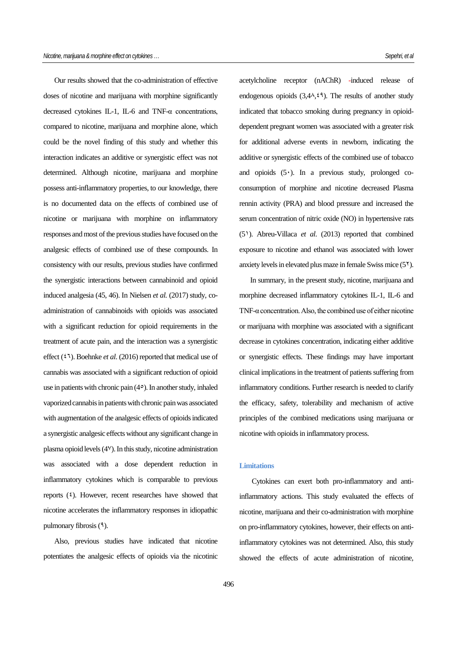Our results showed that the co-administration of effective doses of nicotine and marijuana with morphine significantly decreased cytokines IL-1, IL-6 and TNF-α concentrations, compared to nicotine, marijuana and morphine alone, which could be the novel finding of this study and whether this interaction indicates an additive or synergistic effect was not determined. Although nicotine, marijuana and morphine possess anti-inflammatory properties, to our knowledge, there is no documented data on the effects of combined use of nicotine or marijuana with morphine on inflammatory responses and most of the previous studies have focused on the analgesic effects of combined use of these compounds. In consistency with our results, previous studies have confirmed the synergistic interactions between cannabinoid and opioid induced analgesia [\(45,](#page-13-14) [46](#page-14-0)). In Nielsen *et al.* (2017) study, coadministration of cannabinoids with opioids was associated with a significant reduction for opioid requirements in the treatment of acute pain, and the interaction was a synergistic effect (<sup>2</sup>). Boehnke *et al.* (2016) reported that medical use of cannabis was associated with a significant reduction of opioid use in patients with chronic pain  $(4^{\circ})$ . In another study, inhaled vaporized cannabis in patients with chronic pain was associated with augmentation of the analgesic effects of opioids indicated a synergistic analgesic effects without any significant change in plasma opioid levels [\(47\)](#page-14-1). In this study, nicotine administration was associated with a dose dependent reduction in inflammatory cytokines which is comparable to previous reports  $(2)$ . However, recent researches have showed that nicotine accelerates the inflammatory responses in idiopathic pulmonary fibrosis  $(9)$ .

Also, previous studies have indicated that nicotine potentiates the analgesic effects of opioids via the nicotinic acetylcholine receptor (nAChR) -induced release of endogenous opioids  $(3,4^{\lambda}, \xi^{\eta})$  $(3,4^{\lambda}, \xi^{\eta})$ . The results of another study indicated that tobacco smoking during pregnancy in opioiddependent pregnant women was associated with a greater risk for additional adverse events in newborn, indicating the additive or synergistic effects of the combined use of tobacco and opioids  $(5)$ . In a previous study, prolonged coconsumption of morphine and nicotine decreased Plasma rennin activity (PRA) and blood pressure and increased the serum concentration of nitric oxide (NO) in hypertensive rats [\(51\)](#page-14-5). Abreu-Villaca *et al*. (2013) reported that combined exposure to nicotine and ethanol was associated with lower anxiety levels in elevated plus maze in female Swiss mice  $(5^{\circ})$ .

In summary, in the present study, nicotine, marijuana and morphine decreased inflammatory cytokines IL-1, IL-6 and TNF- $\alpha$  concentration. Also, the combined use of either nicotine or marijuana with morphine was associated with a significant decrease in cytokines concentration, indicating either additive or synergistic effects. These findings may have important clinical implications in the treatment of patients suffering from inflammatory conditions. Further research is needed to clarify the efficacy, safety, tolerability and mechanism of active principles of the combined medications using marijuana or nicotine with opioids in inflammatory process.

# **Limitations**

Cytokines can exert both pro-inflammatory and antiinflammatory actions. This study evaluated the effects of nicotine, marijuana and their co-administration with morphine on pro-inflammatory cytokines, however, their effects on antiinflammatory cytokines was not determined. Also, this study showed the effects of acute administration of nicotine,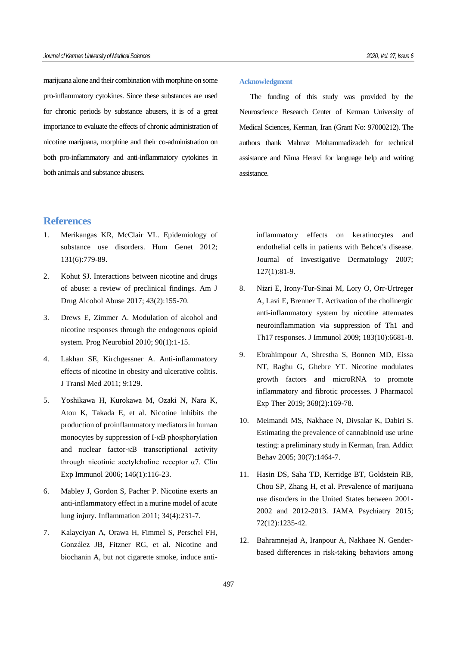marijuana alone and their combination with morphine on some pro-inflammatory cytokines. Since these substances are used for chronic periods by substance abusers, it is of a great importance to evaluate the effects of chronic administration of nicotine marijuana, morphine and their co-administration on both pro-inflammatory and anti-inflammatory cytokines in both animals and substance abusers.

# **References**

- <span id="page-11-0"></span>1. Merikangas KR, McClair VL. Epidemiology of substance use disorders. Hum Genet 2012; 131(6):779-89.
- <span id="page-11-1"></span>2. Kohut SJ. Interactions between nicotine and drugs of abuse: a review of preclinical findings. Am J Drug Alcohol Abuse 2017; 43(2):155-70.
- <span id="page-11-2"></span>3. Drews E, Zimmer A. Modulation of alcohol and nicotine responses through the endogenous opioid system. Prog Neurobiol 2010; 90(1):1-15.
- <span id="page-11-3"></span>4. Lakhan SE, Kirchgessner A. Anti-inflammatory effects of nicotine in obesity and ulcerative colitis. J Transl Med 2011; 9:129.
- <span id="page-11-10"></span>5. Yoshikawa H, Kurokawa M, Ozaki N, Nara K, Atou K, Takada E, et al. Nicotine inhibits the production of proinflammatory mediators in human monocytes by suppression of I‐κB phosphorylation and nuclear factor‐κB transcriptional activity through nicotinic acetylcholine receptor  $\alpha$ 7. Clin Exp Immunol 2006; 146(1):116-23.
- 6. Mabley J, Gordon S, Pacher P. Nicotine exerts an anti-inflammatory effect in a murine model of acute lung injury. Inflammation 2011; 34(4):231-7.
- <span id="page-11-4"></span>7. Kalayciyan A, Orawa H, Fimmel S, Perschel FH, González JB, Fitzner RG, et al. Nicotine and biochanin A, but not cigarette smoke, induce anti-

#### **Acknowledgment**

The funding of this study was provided by the Neuroscience Research Center of Kerman University of Medical Sciences, Kerman, Iran (Grant No: 97000212). The authors thank Mahnaz Mohammadizadeh for technical assistance and Nima Heravi for language help and writing assistance.

inflammatory effects on keratinocytes and endothelial cells in patients with Behcet's disease. Journal of Investigative Dermatology 2007; 127(1):81-9.

- <span id="page-11-5"></span>8. Nizri E, Irony-Tur-Sinai M, Lory O, Orr-Urtreger A, Lavi E, Brenner T. Activation of the cholinergic anti-inflammatory system by nicotine attenuates neuroinflammation via suppression of Th1 and Th17 responses. J Immunol 2009; 183(10):6681-8.
- <span id="page-11-6"></span>9. Ebrahimpour A, Shrestha S, Bonnen MD, Eissa NT, Raghu G, Ghebre YT. Nicotine modulates growth factors and microRNA to promote inflammatory and fibrotic processes. J Pharmacol Exp Ther 2019; 368(2):169-78.
- <span id="page-11-7"></span>10. Meimandi MS, Nakhaee N, Divsalar K, Dabiri S. Estimating the prevalence of cannabinoid use urine testing: a preliminary study in Kerman, Iran. Addict Behav 2005; 30(7):1464-7.
- <span id="page-11-8"></span>11. Hasin DS, Saha TD, Kerridge BT, Goldstein RB, Chou SP, Zhang H, et al. Prevalence of marijuana use disorders in the United States between 2001- 2002 and 2012-2013. JAMA Psychiatry 2015; 72(12):1235-42.
- <span id="page-11-9"></span>12. Bahramnejad A, Iranpour A, Nakhaee N. Genderbased differences in risk-taking behaviors among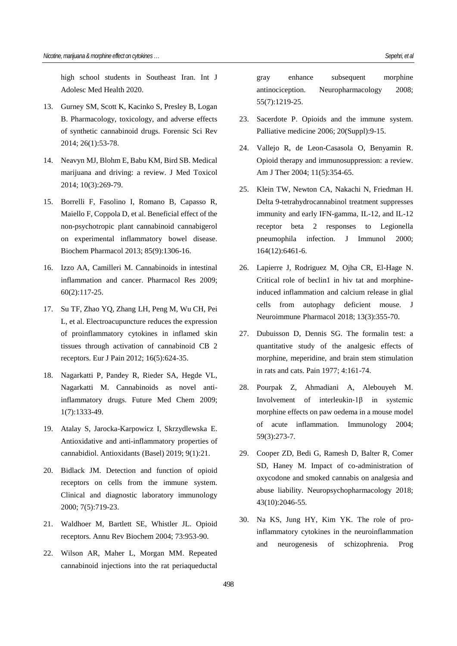high school students in Southeast Iran. Int J Adolesc Med Health 2020.

- 13. Gurney SM, Scott K, Kacinko S, Presley B, Logan B. Pharmacology, toxicology, and adverse effects of synthetic cannabinoid drugs. Forensic Sci Rev 2014; 26(1):53-78.
- 14. Neavyn MJ, Blohm E, Babu KM, Bird SB. Medical marijuana and driving: a review. J Med Toxicol 2014; 10(3):269-79.
- 15. Borrelli F, Fasolino I, Romano B, Capasso R, Maiello F, Coppola D, et al. Beneficial effect of the non-psychotropic plant cannabinoid cannabigerol on experimental inflammatory bowel disease. Biochem Pharmacol 2013; 85(9):1306-16.
- <span id="page-12-12"></span>16. Izzo AA, Camilleri M. Cannabinoids in intestinal inflammation and cancer. Pharmacol Res 2009; 60(2):117-25.
- <span id="page-12-0"></span>17. Su TF, Zhao YQ, Zhang LH, Peng M, Wu CH, Pei L, et al. Electroacupuncture reduces the expression of proinflammatory cytokines in inflamed skin tissues through activation of cannabinoid CB 2 receptors. Eur J Pain 2012; 16(5):624-35.
- <span id="page-12-1"></span>18. Nagarkatti P, Pandey R, Rieder SA, Hegde VL, Nagarkatti M. Cannabinoids as novel antiinflammatory drugs. Future Med Chem 2009; 1(7):1333-49.
- <span id="page-12-2"></span>19. Atalay S, Jarocka-Karpowicz I, Skrzydlewska E. Antioxidative and anti-inflammatory properties of cannabidiol. Antioxidants (Basel) 2019; 9(1):21.
- <span id="page-12-3"></span>20. Bidlack JM. Detection and function of opioid receptors on cells from the immune system. Clinical and diagnostic laboratory immunology 2000; 7(5):719-23.
- <span id="page-12-4"></span>21. Waldhoer M, Bartlett SE, Whistler JL. Opioid receptors. Annu Rev Biochem 2004; 73:953-90.
- <span id="page-12-5"></span>22. Wilson AR, Maher L, Morgan MM. Repeated cannabinoid injections into the rat periaqueductal

gray enhance subsequent morphine antinociception. Neuropharmacology 2008; 55(7):1219-25.

- <span id="page-12-6"></span>23. Sacerdote P. Opioids and the immune system. Palliative medicine 2006; 20(Suppl):9-15.
- <span id="page-12-7"></span>24. Vallejo R, de Leon-Casasola O, Benyamin R. Opioid therapy and immunosuppression: a review. Am J Ther 2004; 11(5):354-65.
- <span id="page-12-8"></span>25. Klein TW, Newton CA, Nakachi N, Friedman H. Delta 9-tetrahydrocannabinol treatment suppresses immunity and early IFN-gamma, IL-12, and IL-12 receptor beta 2 responses to Legionella pneumophila infection. J Immunol 2000; 164(12):6461-6.
- <span id="page-12-9"></span>26. Lapierre J, Rodriguez M, Ojha CR, El-Hage N. Critical role of beclin1 in hiv tat and morphineinduced inflammation and calcium release in glial cells from autophagy deficient mouse. J Neuroimmune Pharmacol 2018; 13(3):355-70.
- <span id="page-12-10"></span>27. Dubuisson D, Dennis SG. The formalin test: a quantitative study of the analgesic effects of morphine, meperidine, and brain stem stimulation in rats and cats. Pain 1977; 4:161-74.
- 28. Pourpak Z, Ahmadiani A, Alebouyeh M. Involvement of interleukin‐1β in systemic morphine effects on paw oedema in a mouse model of acute inflammation. Immunology 2004; 59(3):273-7.
- <span id="page-12-13"></span>29. Cooper ZD, Bedi G, Ramesh D, Balter R, Comer SD, Haney M. Impact of co-administration of oxycodone and smoked cannabis on analgesia and abuse liability. Neuropsychopharmacology 2018; 43(10):2046-55.
- <span id="page-12-11"></span>30. Na KS, Jung HY, Kim YK. The role of proinflammatory cytokines in the neuroinflammation and neurogenesis of schizophrenia. Prog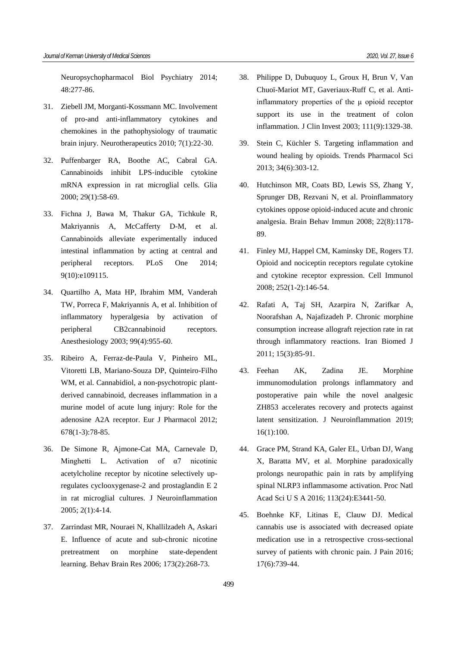Neuropsychopharmacol Biol Psychiatry 2014; 48:277-86.

- <span id="page-13-0"></span>31. Ziebell JM, Morganti-Kossmann MC. Involvement of pro-and anti-inflammatory cytokines and chemokines in the pathophysiology of traumatic brain injury. Neurotherapeutics 2010; 7(1):22-30.
- <span id="page-13-1"></span>32. Puffenbarger RA, Boothe AC, Cabral GA. Cannabinoids inhibit LPS‐inducible cytokine mRNA expression in rat microglial cells. Glia 2000; 29(1):58-69.
- <span id="page-13-2"></span>33. Fichna J, Bawa M, Thakur GA, Tichkule R, Makriyannis A, McCafferty D-M, et al. Cannabinoids alleviate experimentally induced intestinal inflammation by acting at central and peripheral receptors. PLoS One 2014; 9(10):e109115.
- <span id="page-13-3"></span>34. Quartilho A, Mata HP, Ibrahim MM, Vanderah TW, Porreca F, Makriyannis A, et al. Inhibition of inflammatory hyperalgesia by activation of peripheral CB2cannabinoid receptors. Anesthesiology 2003; 99(4):955-60.
- <span id="page-13-4"></span>35. Ribeiro A, Ferraz-de-Paula V, Pinheiro ML, Vitoretti LB, Mariano-Souza DP, Quinteiro-Filho WM, et al. Cannabidiol, a non-psychotropic plantderived cannabinoid, decreases inflammation in a murine model of acute lung injury: Role for the adenosine A2A receptor. Eur J Pharmacol 2012; 678(1-3):78-85.
- <span id="page-13-5"></span>36. De Simone R, Ajmone-Cat MA, Carnevale D, Minghetti L. Activation of α7 nicotinic acetylcholine receptor by nicotine selectively upregulates cyclooxygenase-2 and prostaglandin E 2 in rat microglial cultures. J Neuroinflammation 2005; 2(1):4-14.
- <span id="page-13-6"></span>37. Zarrindast MR, Nouraei N, Khallilzadeh A, Askari E. Influence of acute and sub-chronic nicotine pretreatment on morphine state-dependent learning. Behav Brain Res 2006; 173(2):268-73.
- <span id="page-13-7"></span>38. Philippe D, Dubuquoy L, Groux H, Brun V, Van Chuoï-Mariot MT, Gaveriaux-Ruff C, et al. Antiinflammatory properties of the μ opioid receptor support its use in the treatment of colon inflammation. J Clin Invest 2003; 111(9):1329-38.
- <span id="page-13-8"></span>39. Stein C, Küchler S. Targeting inflammation and wound healing by opioids. Trends Pharmacol Sci 2013; 34(6):303-12.
- <span id="page-13-9"></span>40. Hutchinson MR, Coats BD, Lewis SS, Zhang Y, Sprunger DB, Rezvani N, et al. Proinflammatory cytokines oppose opioid-induced acute and chronic analgesia. Brain Behav Immun 2008; 22(8):1178- 89.
- <span id="page-13-10"></span>41. Finley MJ, Happel CM, Kaminsky DE, Rogers TJ. Opioid and nociceptin receptors regulate cytokine and cytokine receptor expression. Cell Immunol 2008; 252(1-2):146-54.
- <span id="page-13-11"></span>42. Rafati A, Taj SH, Azarpira N, Zarifkar A, Noorafshan A, Najafizadeh P. Chronic morphine consumption increase allograft rejection rate in rat through inflammatory reactions. Iran Biomed J 2011; 15(3):85-91.
- <span id="page-13-12"></span>43. Feehan AK, Zadina JE. Morphine immunomodulation prolongs inflammatory and postoperative pain while the novel analgesic ZH853 accelerates recovery and protects against latent sensitization. J Neuroinflammation 2019; 16(1):100.
- <span id="page-13-13"></span>44. Grace PM, Strand KA, Galer EL, Urban DJ, Wang X, Baratta MV, et al. Morphine paradoxically prolongs neuropathic pain in rats by amplifying spinal NLRP3 inflammasome activation. Proc Natl Acad Sci U S A 2016; 113(24):E3441-50.
- <span id="page-13-14"></span>45. Boehnke KF, Litinas E, Clauw DJ. Medical cannabis use is associated with decreased opiate medication use in a retrospective cross-sectional survey of patients with chronic pain. J Pain 2016; 17(6):739-44.